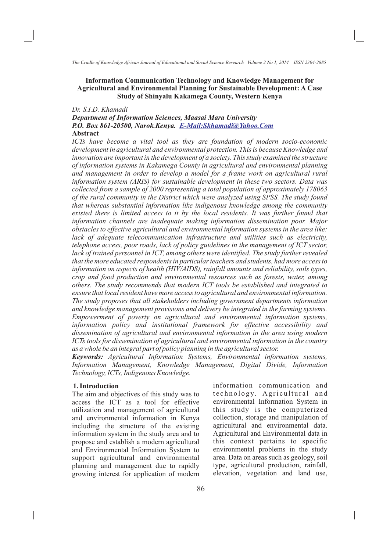## **Information Communication Technology and Knowledge Management for Agricultural and Environmental Planning for Sustainable Development: A Case Study of Shinyalu Kakamega County, Western Kenya**

### *Dr. S.I.D. Khamadi*

*Department of Information Sciences, Maasai Mara University P.O. Box 861-20500, Narok.Kenya. E-Mail:Skhamadi@Yahoo.Com* **Abstract**

*ICTs have become a vital tool as they are foundation of modern socio-economic development in agricultural and environmental protection. This is because Knowledge and innovation are important in the development of a society. This study examined the structure of information systems in Kakamega County in agricultural and environmental planning*  and management in order to develop a model for a frame work on agricultural rural *information system (ARIS) for sustainable development in these two sectors. Data was collected from a sample of 2000 representing a total population of approximately 178063 of the rural community in the District which were analyzed using SPSS. The study found that whereas substantial information like indigenous knowledge among the community existed there is limited access to it by the local residents. It was further found that information channels are inadequate making information dissemination poor. Major obstacles to effective agricultural and environmental information systems in the area like: lack of adequate telecommunication infrastructure and utilities such as electricity, telephone access, poor roads, lack of policy guidelines in the management of ICT sector, lack of trained personnel in ICT, among others were identified. The study further revealed that the more educated respondents in particular teachers and students, had more access to information on aspects of health (HIV/AIDS), rainfall amounts and reliability, soils types, crop and food production and environmental resources such as forests, water, among others. The study recommends that modern ICT tools be established and integrated to ensure that local resident have more access to agricultural and environmental information. The study proposes that all stakeholders including government departments information and knowledge management provisions and delivery be integrated in the farming systems. Empowerment of poverty on agricultural and environmental information systems, information policy and institutional framework for effective accessibility and dissemination of agricultural and environmental information in the area using modern ICTs tools for dissemination of agricultural and environmental information in the country as a whole be an integral part of policy planning in the agricultural sector.* 

*Keywords: Agricultural Information Systems, Environmental information systems, Information Management, Knowledge Management, Digital Divide, Information Technology, ICTs, Indigenous Knowledge.* 

### **1. Introduction**

The aim and objectives of this study was to access the ICT as a tool for effective utilization and management of agricultural and environmental information in Kenya including the structure of the existing information system in the study area and to propose and establish a modern agricultural and Environmental Information System to support agricultural and environmental planning and management due to rapidly growing interest for application of modern

information communication and technology. Agricultural and environmental Information System in this study is the computerized collection, storage and manipulation of agricultural and environmental data. Agricultural and Environmental data in this context pertains to specific environmental problems in the study area. Data on areas such as geology, soil type, agricultural production, rainfall, elevation, vegetation and land use,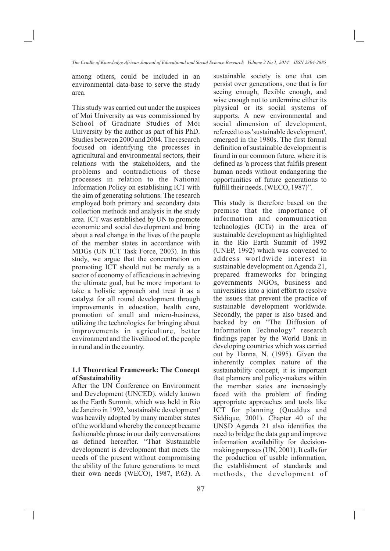among others, could be included in an environmental data-base to serve the study area.

This study was carried out under the auspices of Moi University as was commissioned by School of Graduate Studies of Moi University by the author as part of his PhD. Studies between 2000 and 2004. The research focused on identifying the processes in agricultural and environmental sectors, their relations with the stakeholders, and the problems and contradictions of these processes in relation to the National Information Policy on establishing ICT with the aim of generating solutions. The research employed both primary and secondary data collection methods and analysis in the study area. ICT was established by UN to promote economic and social development and bring about a real change in the lives of the people of the member states in accordance with MDGs (UN ICT Task Force, 2003). In this study, we argue that the concentration on promoting ICT should not be merely as a sector of economy of efficacious in achieving the ultimate goal, but be more important to take a holistic approach and treat it as a catalyst for all round development through improvements in education, health care, promotion of small and micro-business, utilizing the technologies for bringing about improvements in agriculture, better environment and the livelihood of. the people in rural and in the country.

### **1.1 Theoretical Framework: The Concept of Sustainability**

After the UN Conference on Environment and Development (UNCED), widely known as the Earth Summit, which was held in Rio de Janeiro in 1992, 'sustainable development' was heavily adopted by many member states of the world and whereby the concept became fashionable phrase in our daily conversations as defined hereafter. "That Sustainable development is development that meets the needs of the present without compromising the ability of the future generations to meet their own needs (WECO), 1987, P.63). A sustainable society is one that can persist over generations, one that is for seeing enough, flexible enough, and wise enough not to undermine either its physical or its social systems of supports. A new environmental and social dimension of development, refereed to as 'sustainable development', emerged in the 1980s. The first formal definition of sustainable development is found in our common future, where it is defined as 'a process that fulfils present human needs without endangering the opportunities of future generations to fulfill their needs. (WECO, 1987)".

This study is therefore based on the premise that the importance of information and communication technologies (ICTs) in the area of sustainable development as highlighted in the Rio Earth Summit of 1992 (UNEP, 1992) which was convened to address worldwide interest in sustainable development on Agenda 21, prepared frameworks for bringing governments NGOs, business and universities into a joint effort to resolve the issues that prevent the practice of sustainable development worldwide. Secondly, the paper is also based and backed by on "The Diffusion of Information Technology" research findings paper by the World Bank in developing countries which was carried out by Hanna, N. (1995). Given the inherently complex nature of the sustainability concept, it is important that planners and policy-makers within the member states are increasingly faced with the problem of finding appropriate approaches and tools like ICT for planning (Quaddus and Siddique, 2001). Chapter 40 of the UNSD Agenda 21 also identifies the need to bridge the data gap and improve information availability for decisionmaking purposes (UN, 2001). It calls for the production of usable information, the establishment of standards and methods, the development of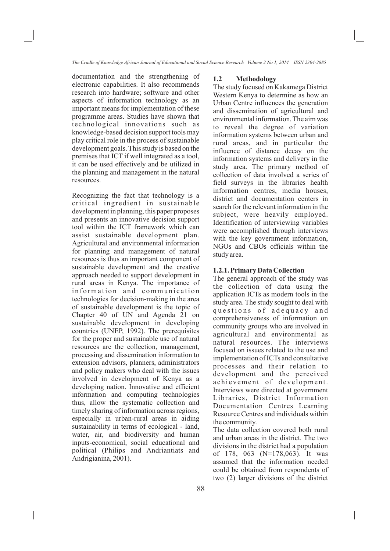documentation and the strengthening of electronic capabilities. It also recommends research into hardware; software and other aspects of information technology as an important means for implementation of these programme areas. Studies have shown that technological innovations such as knowledge-based decision support tools may play critical role in the process of sustainable development goals. This study is based on the premises that ICT if well integrated as a tool, it can be used effectively and be utilized in the planning and management in the natural resources.

Recognizing the fact that technology is a critical ingredient in sustainable development in planning, this paper proposes and presents an innovative decision support tool within the ICT framework which can assist sustainable development plan. Agricultural and environmental information for planning and management of natural resources is thus an important component of sustainable development and the creative approach needed to support development in rural areas in Kenya. The importance of information and communication technologies for decision-making in the area of sustainable development is the topic of Chapter 40 of UN and Agenda 21 on sustainable development in developing countries (UNEP, 1992). The prerequisites for the proper and sustainable use of natural resources are the collection, management, processing and dissemination information to extension advisors, planners, administrators and policy makers who deal with the issues involved in development of Kenya as a developing nation. Innovative and efficient information and computing technologies thus, allow the systematic collection and timely sharing of information across regions, especially in urban-rural areas in aiding sustainability in terms of ecological - land, water, air, and biodiversity and human inputs-economical, social educational and political (Philips and Andriantiats and Andrigianina, 2001).

### **1.2 Methodology**

The study focused on Kakamega District Western Kenya to determine as how an Urban Centre influences the generation and dissemination of agricultural and environmental information. The aim was to reveal the degree of variation information systems between urban and rural areas, and in particular the influence of distance decay on the information systems and delivery in the study area. The primary method of collection of data involved a series of field surveys in the libraries health information centres, media houses, district and documentation centers in search for the relevant information in the subject, were heavily employed. Identification of interviewing variables were accomplished through interviews with the key government information, NGOs and CBOs officials within the study area.

### **1.2.1. Primary Data Collection**

The general approach of the study was the collection of data using the application ICTs as modern tools in the study area. The study sought to deal with questions of adequacy and comprehensiveness of information on community groups who are involved in agricultural and environmental as natural resources. The interviews focused on issues related to the use and implementation of ICTs and consultative processes and their relation to development and the perceived achievement of development. Interviews were directed at government Libraries, District Information Documentation Centres Learning Resource Centres and individuals within the community.

The data collection covered both rural and urban areas in the district. The two divisions in the district had a population of 178, 063 (N=178,063). It was assumed that the information needed could be obtained from respondents of two (2) larger divisions of the district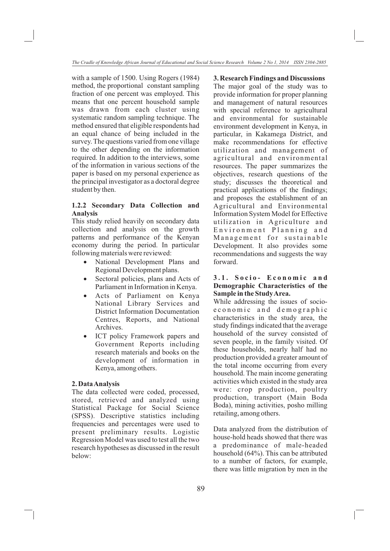with a sample of 1500. Using Rogers (1984) method, the proportional constant sampling fraction of one percent was employed. This means that one percent household sample was drawn from each cluster using systematic random sampling technique. The method ensured that eligible respondents had an equal chance of being included in the survey. The questions varied from one village to the other depending on the information required. In addition to the interviews, some of the information in various sections of the paper is based on my personal experience as the principal investigator as a doctoral degree student by then.

## **1.2.2 Secondary Data Collection and Analysis**

This study relied heavily on secondary data collection and analysis on the growth patterns and performance of the Kenyan economy during the period. In particular following materials were reviewed:<br>• National Development Plans and

- Regional Development plans.
- Sectoral policies, plans and Acts of Parliament in Information in Kenya.
- Acts of Parliament on Kenya National Library Services and District Information Documentation Centres, Reports, and National Archives.<br>• ICT policy Framework papers and
- Government Reports including research materials and books on the development of information in Kenya, among others.

### **2. Data Analysis**

The data collected were coded, processed, stored, retrieved and analyzed using Statistical Package for Social Science (SPSS). Descriptive statistics including frequencies and percentages were used to present preliminary results. Logistic Regression Model was used to test all the two research hypotheses as discussed in the result below:

**3. Research Findings and Discussions** The major goal of the study was to provide information for proper planning and management of natural resources with special reference to agricultural and environmental for sustainable environment development in Kenya, in particular, in Kakamega District, and make recommendations for effective utilization and management of agricultural and environmental resources. The paper summarizes the objectives, research questions of the study; discusses the theoretical and practical applications of the findings; and proposes the establishment of an Agricultural and Environmental Information System Model for Effective utilization in Agriculture and Environment Planning and Management for sustainable Development. It also provides some recommendations and suggests the way forward.

### 3.1. Socio- Economic and **Demographic Characteristics of the Sample in the Study Area.**

While addressing the issues of socioe conomic and demographic characteristics in the study area, the study findings indicated that the average household of the survey consisted of seven people, in the family visited. Of these households, nearly half had no production provided a greater amount of the total income occurring from every household. The main income generating activities which existed in the study area were: crop production, poultry production, transport (Main Boda Boda), mining activities, posho milling retailing, among others.

Data analyzed from the distribution of house-hold heads showed that there was a predominance of male-headed household (64%). This can be attributed to a number of factors, for example, there was little migration by men in the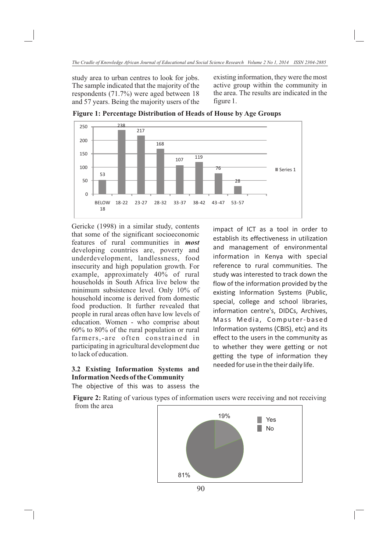study area to urban centres to look for jobs. The sample indicated that the majority of the respondents (71.7%) were aged between 18 and 57 years. Being the majority users of the existing information, they were the most active group within the community in the area. The results are indicated in the figure 1.



**Figure 1: Percentage Distribution of Heads of House by Age Groups**

Gericke (1998) in a similar study, contents that some of the significant socioeconomic features of rural communities in *most*  developing countries are, poverty and underdevelopment, landlessness, food insecurity and high population growth. For example, approximately 40% of rural households in South Africa live below the minimum subsistence level. Only 10% of household income is derived from domestic food production. It further revealed that people in rural areas often have low levels of education. Women - who comprise about 60% to 80% of the rural population or rural farmers,-are often constrained in participating in agricultural development due to lack of education.

# **3.2 Existing Information Systems and Information Needs of the Community**

impact of ICT as a tool in order to establish its effectiveness in utilization and management of environmental information in Kenya with special reference to rural communities. The study was interested to track down the flow of the information provided by the existing Information Systems (Public, special, college and school libraries, information centre's, DIDCs, Archives, Mass Media, Computer-based Information systems (CBIS), etc) and its effect to the users in the community as to whether they were getting or not getting the type of information they needed for use in the their daily life.

The objective of this was to assess the

**Figure 2:** Rating of various types of information users were receiving and not receiving from the area

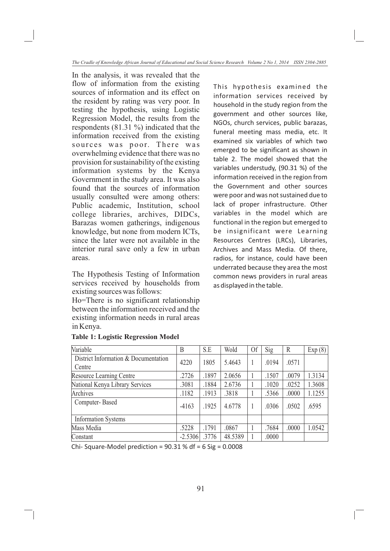In the analysis, it was revealed that the flow of information from the existing sources of information and its effect on the resident by rating was very poor. In testing the hypothesis, using Logistic Regression Model, the results from the respondents (81.31 %) indicated that the information received from the existing sources was poor. There was overwhelming evidence that there was no provision for sustainability of the existing information systems by the Kenya Government in the study area. It was also found that the sources of information usually consulted were among others: Public academic, Institution, school college libraries, archives, DIDCs, Barazas women gatherings, indigenous knowledge, but none from modern ICTs, since the later were not available in the interior rural save only a few in urban areas.

The Hypothesis Testing of Information services received by households from existing sources was follows:

Ho=There is no significant relationship between the information received and the existing information needs in rural areas in Kenya.

| This hypothesis examined the            |
|-----------------------------------------|
| information services received by        |
| household in the study region from the  |
| government and other sources like,      |
| NGOs, church services, public barazas,  |
| funeral meeting mass media, etc. It     |
| examined six variables of which two     |
| emerged to be significant as shown in   |
| table 2. The model showed that the      |
| variables understudy, (90.31 %) of the  |
| information received in the region from |
| the Government and other sources        |
| were poor and was not sustained due to  |
| lack of proper infrastructure. Other    |
| variables in the model which are        |
|                                         |
| functional in the region but emerged to |
| be insignificant were Learning          |
| Resources Centres (LRCs), Libraries,    |
| Archives and Mass Media. Of there,      |
| radios, for instance, could have been   |
| underrated because they area the most   |

as displayed in the table.

|  |  |  | <b>Table 1: Logistic Regression Model</b> |  |
|--|--|--|-------------------------------------------|--|
|--|--|--|-------------------------------------------|--|

| Variable                                       | B         | S.E   | Wold    | <sup>Of</sup> | Sig   | $\mathbb{R}$ | Exp(8) |
|------------------------------------------------|-----------|-------|---------|---------------|-------|--------------|--------|
| District Information & Documentation<br>Centre | 4220      | 1805  | 5.4643  |               | .0194 | .0571        |        |
| Resource Learning Centre                       | .2726     | .1897 | 2.0656  |               | .1507 | .0079        | 1.3134 |
| National Kenya Library Services                | .3081     | .1884 | 2.6736  |               | .1020 | .0252        | 1.3608 |
| Archives                                       | .1182     | .1913 | .3818   |               | .5366 | .0000        | 1.1255 |
| Computer-Based                                 | $-4163$   | .1925 | 4.6778  |               | .0306 | .0502        | .6595  |
| <b>Information Systems</b>                     |           |       |         |               |       |              |        |
| Mass Media                                     | .5228     | .1791 | .0867   |               | .7684 | .0000        | 1.0542 |
| Constant                                       | $-2.5306$ | .3776 | 48.5389 |               | .0000 |              |        |

Chi- Square-Model prediction =  $90.31$  % df =  $6$  Sig =  $0.0008$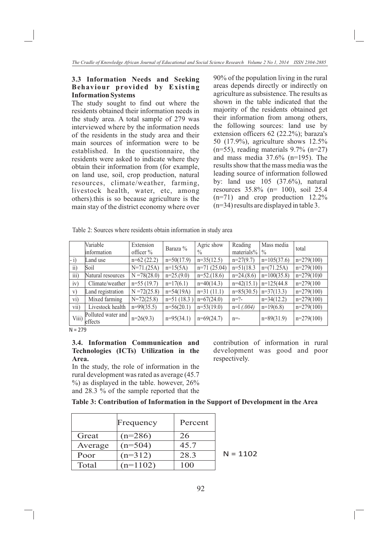### **3.3 Information Needs and Seeking Behaviour provided by Existing Information Systems**

The study sought to find out where the residents obtained their information needs in the study area. A total sample of 279 was interviewed where by the information needs of the residents in the study area and their main sources of information were to be established. In the questionnaire, the residents were asked to indicate where they obtain their information from (for example, on land use, soil, crop production, natural resources, climate/weather, farming, livestock health, water, etc, among others).this is so because agriculture is the main stay of the district economy where over

90% of the population living in the rural areas depends directly or indirectly on agriculture as subsistence. The results as shown in the table indicated that the majority of the residents obtained get their information from among others, the following sources: land use by extension officers 62 (22.2%); baraza's 50 (17.9%), agriculture shows 12.5%  $(n=55)$ , reading materials 9.7%  $(n=27)$ and mass media 37.6% (n=195). The results show that the mass media was the leading source of information followed by: land use 105 (37.6%), natural resources 35.8% (n= 100), soil 25.4 (n=71) and crop production 12.2% (n=34) results are displayed in table 3.

Table 2: Sources where residents obtain information in study area

|                  | Variable<br>information       | Extension<br>officer % | Baraza %      | Agric show<br>$\frac{0}{0}$ | Reading<br>materials% | Mass media<br>$\frac{0}{0}$ | total        |
|------------------|-------------------------------|------------------------|---------------|-----------------------------|-----------------------|-----------------------------|--------------|
| $-i)$            | Land use                      | $n=62(22.2)$           | $n=50(17.9)$  | $n=35(12.5)$                | $n=27(9.7)$           | $n=105(37.6)$               | $n=279(100)$ |
| $\overline{ii}$  | Soil                          | $N=71,(25A)$           | $n=15(5A)$    | $n=71(25.04)$               | $n=51(18.3)$          | $n=(71.25A)$                | $n=279(100)$ |
| $\overline{iii}$ | Natural resources             | $N = 78(28.0)$         | $n=25(9.0)$   | $n=52(18.6)$                | $n=24(8.6)$           | $n=100(35.8)$               | $n=279(10)0$ |
| iv)              | Climate/weather               | $n=55(19.7)$           | $n=17(6.1)$   | $n=40(14.3)$                | $n=42(15.1)$          | $n=125(44.8)$               | $n=279(100$  |
| V)               | Land registration             | $N = 72(25.8)$         | $n=54(19A)$   | $n=31(11.1)$                | $n=85(30.5)$          | $n=37(13.3)$                | $n=279(100)$ |
| vi)              | Mixed farming                 | $N=72(25.8)$           | $n=51$ (18.3) | $n=67(24.0)$                | $n = ?-$              | $n=34(12.2)$                | $n=279(100)$ |
| vii)             | Livestock health              | $n=99(35.5)$           | $n=56(20.1)$  | $n=53(19.0)$                | $n=1$ (.004)          | $n=19(6.8)$                 | $n=279(100)$ |
| Viii)            | Polluted water and<br>effects | $n=26(9.3)$            | $n=95(34.1)$  | $n=69(24.7)$                | $n = -$               | $n=89(31.9)$                | $n=279(100)$ |

 $N = 279$ 

### **3.4. Information Communication and Technologies (ICTs) Utilization in the Area.**

In the study, the role of information in the rural development was rated as average (45.7  $\%$ ) as displayed in the table. however, 26% and 28.3 % of the sample reported that the contribution of information in rural development was good and poor respectively.

**Table 3: Contribution of Information in the Support of Development in the Area**

|         | Frequency  | Percent |           |
|---------|------------|---------|-----------|
| Great   | $(n=286)$  | 26      |           |
| Average | $(n=504)$  | 45.7    |           |
| Poor    | $(n=312)$  | 28.3    | $N = 110$ |
| Total   | $(n=1102)$ | 100     |           |

 $2<sub>1</sub>$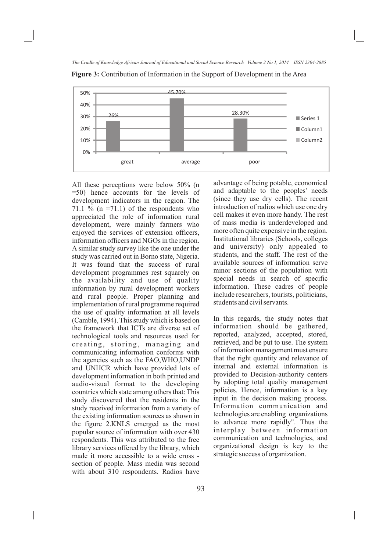

**Figure 3:** Contribution of Information in the Support of Development in the Area

All these perceptions were below 50% (n =50) hence accounts for the levels of development indicators in the region. The 71.1 % (n =71.1) of the respondents who appreciated the role of information rural development, were mainly farmers who enjoyed the services of extension officers, information officers and NGOs in the region. A similar study survey like the one under the study was carried out in Borno state, Nigeria. It was found that the success of rural development programmes rest squarely on the availability and use of quality information by rural development workers and rural people. Proper planning and implementation of rural programme required the use of quality information at all levels (Camble, 1994). This study which is based on the framework that ICTs are diverse set of technological tools and resources used for creating, storing, managing and communicating information conforms with the agencies such as the FAO,WHO,UNDP and UNHCR which have provided lots of development information in both printed and audio-visual format to the developing countries which state among others that: This study discovered that the residents in the study received information from a variety of the existing information sources as shown in the figure 2.KNLS emerged as the most popular source of information with over 430 respondents. This was attributed to the free library services offered by the library, which made it more accessible to a wide cross section of people. Mass media was second with about 310 respondents. Radios have

advantage of being potable, economical and adaptable to the peoples' needs (since they use dry cells). The recent introduction of radios which use one dry cell makes it even more handy. The rest of mass media is underdeveloped and more often quite expensive in the region. Institutional libraries (Schools, colleges and university) only appealed to students, and the staff. The rest of the available sources of information serve minor sections of the population with special needs in search of specific information. These cadres of people include researchers, tourists, politicians, students and civil servants.

In this regards, the study notes that information should be gathered, reported, analyzed, accepted, stored, retrieved, and be put to use. The system of information management must ensure that the right quantity and relevance of internal and external information is provided to Decision-authority centers by adopting total quality management policies. Hence, information is a key input in the decision making process. Information communication and technologies are enabling organizations to advance more rapidly". Thus the interplay between information communication and technologies, and organizational design is key to the strategic success of organization.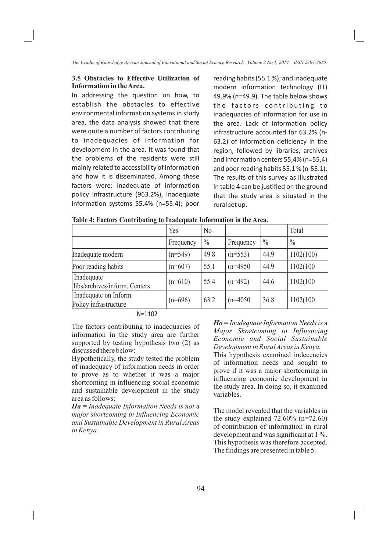## **3.5 Obstacles to Effective Utilization of Information in the Area.**

In addressing the question on how, to establish the obstacles to effective environmental information systems in study area, the data analysis showed that there were quite a number of factors contributing to inadequacies of information for development in the area. It was found that the problems of the residents were still mainly related to accessibility of information and how it is disseminated. Among these factors were: inadequate of information policy infrastructure (963.2%), inadequate information systems 55.4% (n=55.4); poor

reading habits (55.1 %); and inadequate modern information technology (IT) 49.9% (n=49.9). The table below shows the factors contributing to inadequacies of information for use in the area. Lack of information policy infrastructure accounted for 63.2% (n-63.2) of information deficiency in the region, followed by libraries, archives and information centers 55,4% (n=55,4) and poor reading habits 55.1 % (n-55.1). The results of this survey as illustrated in table 4 can be justified on the ground that the study area is situated in the rural set up.

|                                                | Yes       | No            |            |               | Total         |
|------------------------------------------------|-----------|---------------|------------|---------------|---------------|
|                                                | Frequency | $\frac{0}{0}$ | Frequency  | $\frac{0}{0}$ | $\frac{0}{0}$ |
| Inadequate modern                              | $(n=549)$ | 49.8          | $(n=553)$  | 44.9          | 1102(100)     |
| Poor reading habits                            | $(n=607)$ | 55.1          | $(n=4950)$ | 44.9          | 1102(100      |
| Inadequate<br>libs/archives/inform. Centers    | $(n=610)$ | 55.4          | $(n=492)$  | 44.6          | 1102(100      |
| Inadequate on Inform.<br>Policy infrastructure | $(n=696)$ | 63.2          | $(n=4050)$ | 36.8          | 1102(100)     |
| $\blacksquare$                                 |           |               |            |               |               |

**Table 4: Factors Contributing to Inadequate Information in the Area.** 

N=1102

The factors contributing to inadequacies of information in the study area are further supported by testing hypothesis two (2) as discussed there below:

Hypothetically, the study tested the problem of inadequacy of information needs in order to prove as to whether it was a major shortcoming in influencing social economic and sustainable development in the study area as follows:

*Ha* **=** *Inadequate Information Needs is not* a *major shortcoming in Influencing Economic and Sustainable Development in Rural Areas in Kenya.* 

*Ho* **=** *Inadequate Information Needs is* a *Major Shortcoming in Influencing Economic and Social Sustainable Development in Rural Areas in Kenya.* 

This hypothesis examined indecencies of information needs and sought to prove if it was a major shortcoming in influencing economic development in the study area. In doing so, it examined variables.

The model revealed that the variables in the study explained  $72.60\%$  (n=72.60) of contribution of information in rural development and was significant at 1 %. This hypothesis was therefore accepted. The findings are presented in table 5.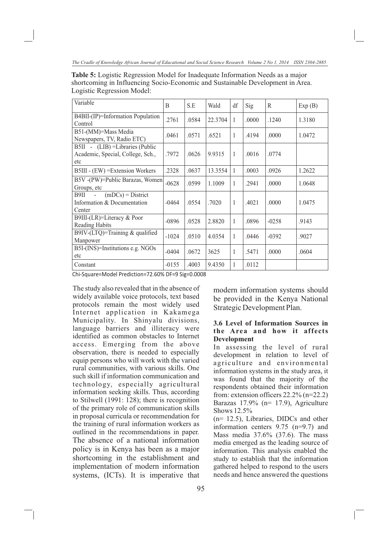*The Cradle of Knowledge African Journal of Educational and Social Science Research Volume 2 No 1, 2014 ISSN 2304-2885*

**Table 5:** Logistic Regression Model for Inadequate Information Needs as a major shortcoming in Influencing Socio-Economic and Sustainable Development in Area. Logistic Regression Model:

| Variable                                                                     | B       | S.E   | Wald    | df           | Sig   | $\mathbb{R}$ | Exp(B) |
|------------------------------------------------------------------------------|---------|-------|---------|--------------|-------|--------------|--------|
| B4BII-(IP)=Information Population<br>Control                                 | .2761   | .0584 | 22.3704 | 1            | .0000 | .1240        | 1.3180 |
| B51-(MM)=Mass Media<br>Newspapers, TV, Radio ETC)                            | .0461   | .0571 | .6521   | 1            | .4194 | .0000        | 1.0472 |
| B5II - (LIB) = Libraries (Public<br>Academic, Special, College, Sch.,<br>etc | .7972   | .0626 | 9.9315  | 1            | .0016 | .0774        |        |
| B5III - (EW) = Extension Workers                                             | .2328   | .0637 | 13.3554 | 1            | .0003 | .0926        | 1.2622 |
| B5V -(PW)=Public Barazas, Women<br>Groups, etc.                              | $-0628$ | .0599 | 1.1009  | $\mathbf{1}$ | .2941 | .0000        | 1.0648 |
| $(mDCs) = District$<br>B9II<br>П.,<br>Information & Documentation<br>Center  | $-0464$ | .0554 | .7020   | $\mathbf{1}$ | .4021 | .0000        | 1.0475 |
| B9III-(LR)=Literacy & Poor<br><b>Reading Habits</b>                          | $-0896$ | .0528 | 2.8820  | $\mathbf{1}$ | .0896 | $-0258$      | .9143  |
| B9IV-(LTQ)=Training $&$ qualified<br>Manpower                                | $-1024$ | .0510 | 4.0354  | 1            | .0446 | $-0.392$     | .9027  |
| B5I-(INS)=Institutions e.g. NGOs<br>etc                                      | $-0404$ | .0672 | 3625    | 1            | .5471 | .0000        | .0604  |
| Constant                                                                     | $-0155$ | .4003 | 9.4350  | 1            | .0112 |              |        |

Chi-Square=Model Prediction=72.60% DF=9 Sig=0.0008

The study also revealed that in the absence of widely available voice protocols, text based protocols remain the most widely used Internet application in Kakamega Municipality. In Shinyalu divisions, language barriers and illiteracy were identified as common obstacles to Internet access. Emerging from the above observation, there is needed to especially equip persons who will work with the varied rural communities, with various skills. One such skill if information communication and technology, especially agricultural information seeking skills. Thus, according to Stilwell (1991: 128); there is recognition of the primary role of communication skills in proposal curricula or recommendation for the training of rural information workers as outlined in the recommendations in paper. The absence of a national information policy is in Kenya has been as a major shortcoming in the establishment and implementation of modern information systems, (ICTs). It is imperative that

modern information systems should be provided in the Kenya National Strategic Development Plan.

## **3.6 Level of Information Sources in the Area and how it affects Development**

In assessing the level of rural development in relation to level of agriculture and environmental information systems in the study area, it was found that the majority of the respondents obtained their information from: extension officers 22.2% (n=22.2) Barazas 17.9% (n= 17.9), Agriculture Shows 12.5%

(n= 12.5), Libraries, DIDCs and other information centers 9.75 (n=9.7) and Mass media 37.6% (37.6). The mass media emerged as the leading source of information. This analysis enabled the study to establish that the information gathered helped to respond to the users needs and hence answered the questions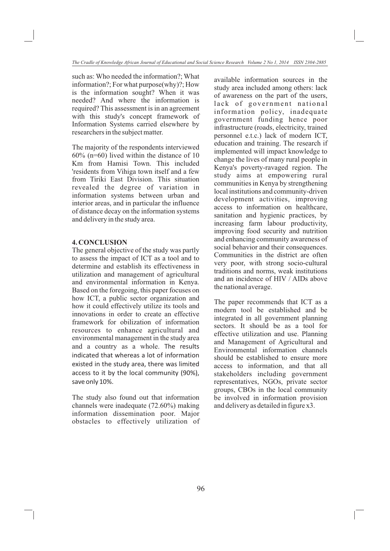such as: Who needed the information?; What information?; For what purpose(why)?; How is the information sought? When it was needed? And where the information is required? This assessment is in an agreement with this study's concept framework of Information Systems carried elsewhere by researchers in the subject matter.

The majority of the respondents interviewed 60% (n=60) lived within the distance of 10 Km from Hamisi Town. This included 'residents from Vihiga town itself and a few from Tiriki East Division. This situation revealed the degree of variation in information systems between urban and interior areas, and in particular the influence of distance decay on the information systems and delivery in the study area.

### **4. CONCLUSION**

The general objective of the study was partly to assess the impact of ICT as a tool and to determine and establish its effectiveness in utilization and management of agricultural and environmental information in Kenya. Based on the foregoing, this paper focuses on how ICT, a public sector organization and how it could effectively utilize its tools and innovations in order to create an effective framework for obilization of information resources to enhance agricultural and environmental management in the study area and a country as a whole. The results indicated that whereas a lot of information existed in the study area, there was limited access to it by the local community (90%), save only 10%.

The study also found out that information channels were inadequate (72.60%) making information dissemination poor. Major obstacles to effectively utilization of available information sources in the study area included among others: lack of awareness on the part of the users, lack of government national information policy, inadequate government funding hence poor infrastructure (roads, electricity, trained personnel e.t.c.) lack of modern ICT, education and training. The research if implemented will impact knowledge to change the lives of many rural people in Kenya's poverty-ravaged region. The study aims at empowering rural communities in Kenya by strengthening local institutions and community-driven development activities, improving access to information on healthcare, sanitation and hygienic practices, by increasing farm labour productivity, improving food security and nutrition and enhancing community awareness of social behavior and their consequences. Communities in the district are often very poor, with strong socio-cultural traditions and norms, weak institutions and an incidence of HIV / AIDs above the national average.

The paper recommends that ICT as a modern tool be established and be integrated in all government planning sectors. It should be as a tool for effective utilization and use. Planning and Management of Agricultural and Environmental information channels should be established to ensure more access to information, and that all stakeholders including government representatives, NGOs, private sector groups, CBOs in the local community be involved in information provision and delivery as detailed in figure x3.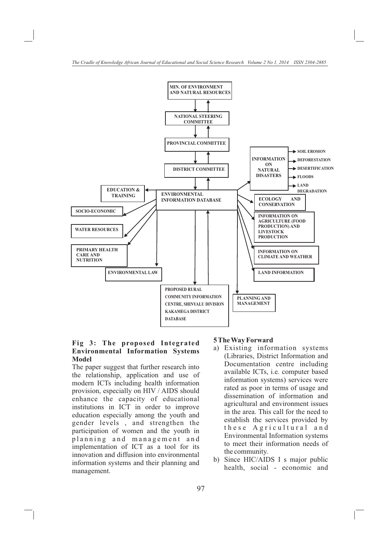

## **Fig 3: The proposed Integrated Environmental Information Systems Model**

The paper suggest that further research into the relationship, application and use of modern ICTs including health information provision, especially on HIV / AIDS should enhance the capacity of educational institutions in ICT in order to improve education especially among the youth and gender levels , and strengthen the participation of women and the youth in planning and management and implementation of ICT as a tool for its innovation and diffusion into environmental information systems and their planning and management.

### **5 The Way Forward**

- a) Existing information systems (Libraries, District Information and Documentation centre including available ICTs, i.e. computer based information systems) services were rated as poor in terms of usage and dissemination of information and agricultural and environment issues in the area. This call for the need to establish the services provided by these Agricultural and Environmental Information systems to meet their information needs of the community.
- b) Since HIC/AIDS I s major public health, social - economic and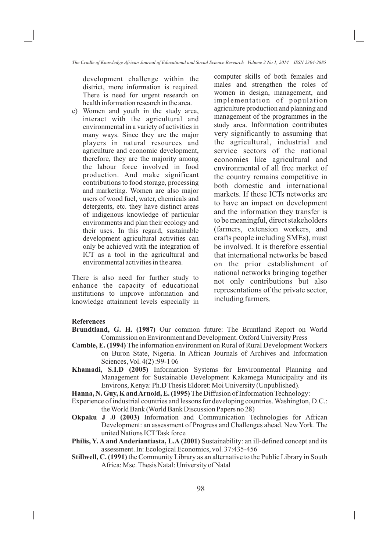development challenge within the district, more information is required. There is need for urgent research on health information research in the area.

c) Women and youth in the study area, interact with the agricultural and environmental in a variety of activities in many ways. Since they are the major players in natural resources and agriculture and economic development, therefore, they are the majority among the labour force involved in food production. And make significant contributions to food storage, processing and marketing. Women are also major users of wood fuel, water, chemicals and detergents, etc. they have distinct areas of indigenous knowledge of particular environments and plan their ecology and their uses. In this regard, sustainable development agricultural activities can only be achieved with the integration of ICT as a tool in the agricultural and environmental activities in the area.

There is also need for further study to enhance the capacity of educational institutions to improve information and knowledge attainment levels especially in computer skills of both females and males and strengthen the roles of women in design, management, and implementation of population agriculture production and planning and management of the programmes in the study area. Information contributes very significantly to assuming that the agricultural, industrial and service sectors of the national economies like agricultural and environmental of all free market of the country remains competitive in both domestic and international markets. If these ICTs networks are to have an impact on development and the information they transfer is to be meaningful, direct stakeholders (farmers, extension workers, and crafts people including SMEs), must be involved. It is therefore essential that international networks be based on the prior establishment of national networks bringing together not only contributions but also representations of the private sector, including farmers.

### **References**

- **Brundtland, G. H. (1987)** Our common future: The Bruntland Report on World Commission on Environment and Development. Oxford University Press
- **Camble, E. (1994)** The information environment on Rural of Rural Development Workers on Buron State, Nigeria. In African Journals of Archives and Information Sciences, Vol. 4(2) :99-1 06
- **Khamadi, S.I.D (2005)** Information Systems for Environmental Planning and Management for Sustainable Development Kakamega Municipality and its Environs, Kenya: Ph.D Thesis Eldoret: Moi University (Unpublished).
- **Hanna, N. Guy, K and Arnold, E. (1995)** The Diffusion of Information Technology:
- Experience of industrial countries and lessons for developing countries. Washington, D.C.: the World Bank (World Bank Discussion Papers no 28)
- **Okpaku J .0 (2003)** Information and Communication Technologies for African Development: an assessment of Progress and Challenges ahead. New York. The united Nations ICT Task force
- **Philis, Y. A and Anderiantiasta, L.A (2001)** Sustainability: an ill-defined concept and its assessment. In: Ecological Economics, vol. 37:435-456
- **Stillwell, C. (1991)** the Community Library as an alternative to the Public Library in South Africa: Msc. Thesis Natal: University of Natal